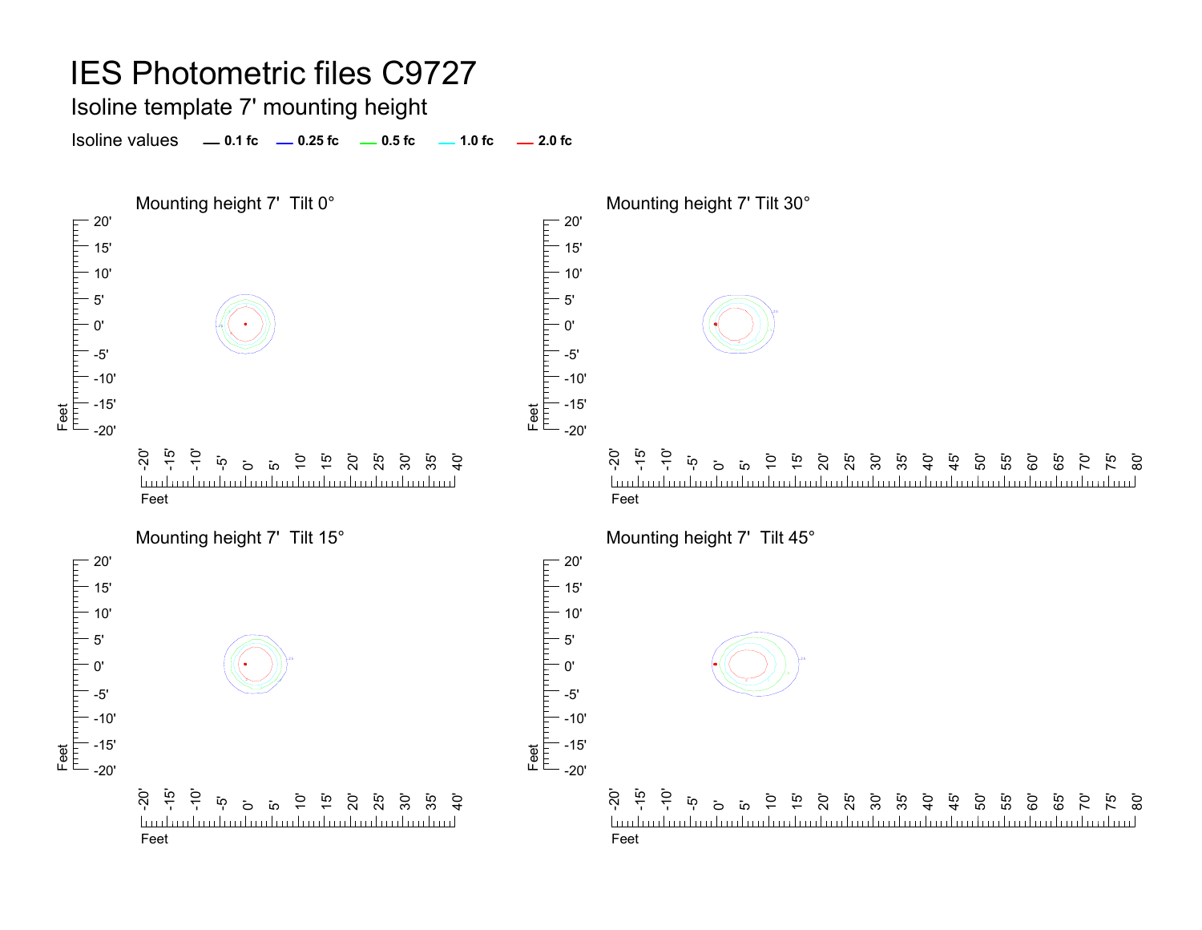Isoline template 7' mounting height

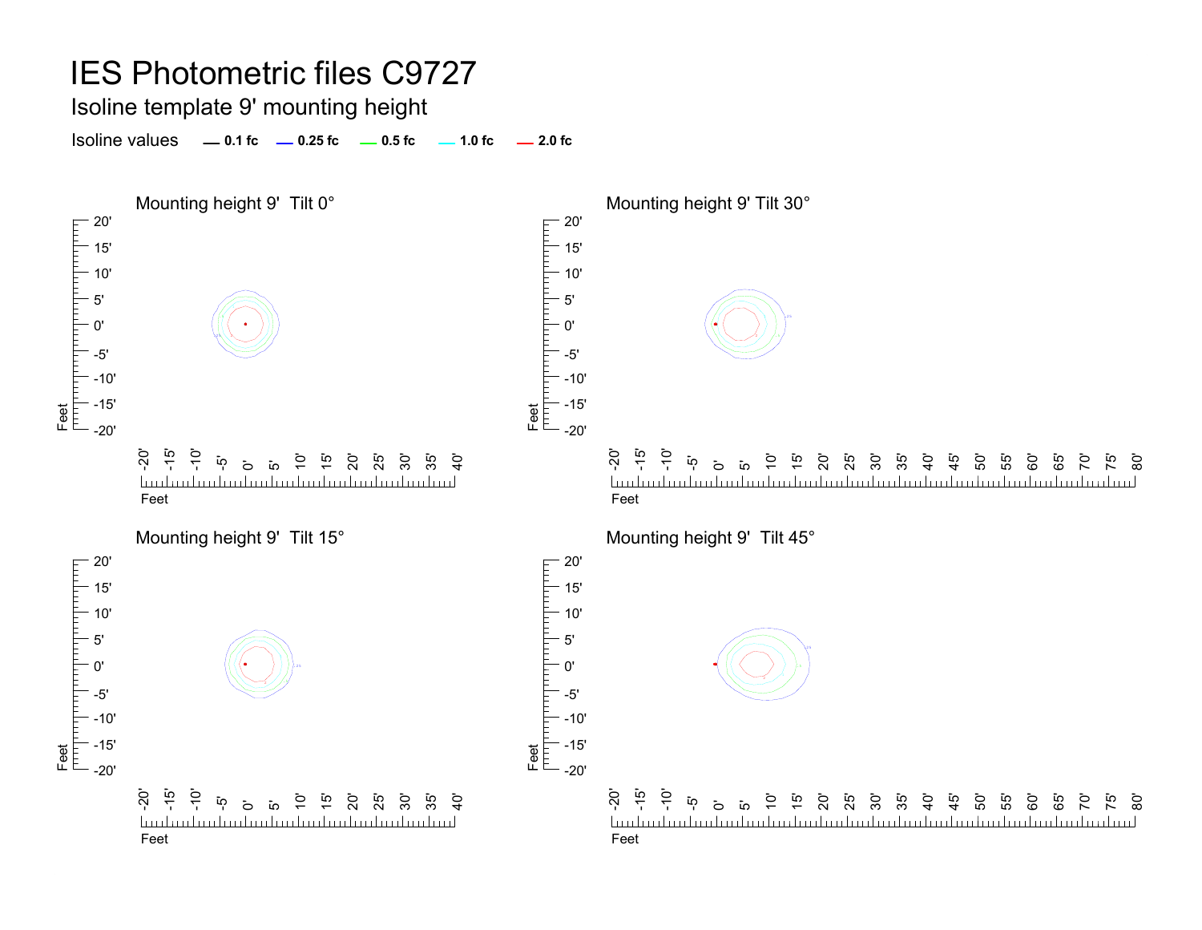Isoline template 9' mounting height

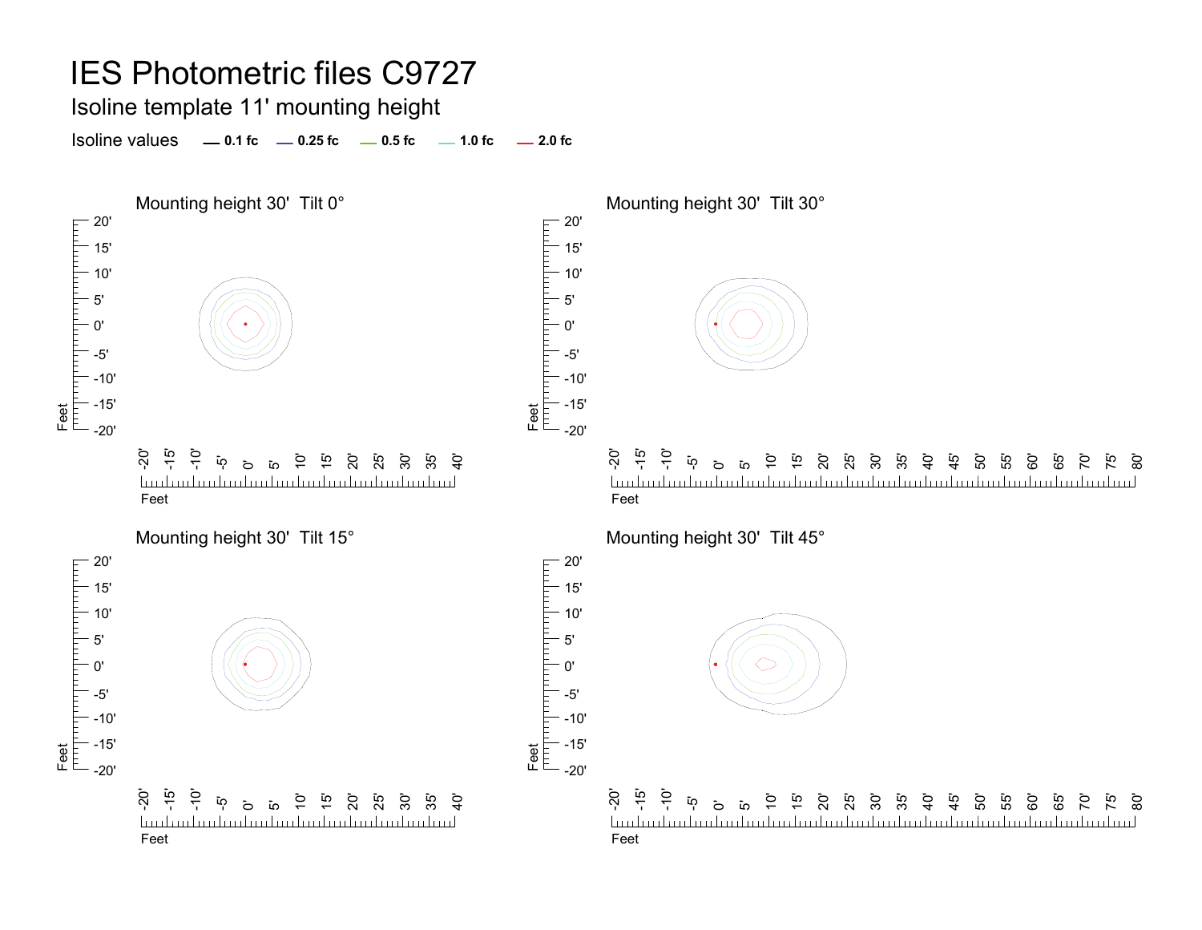#### Isoline template 11' mounting height

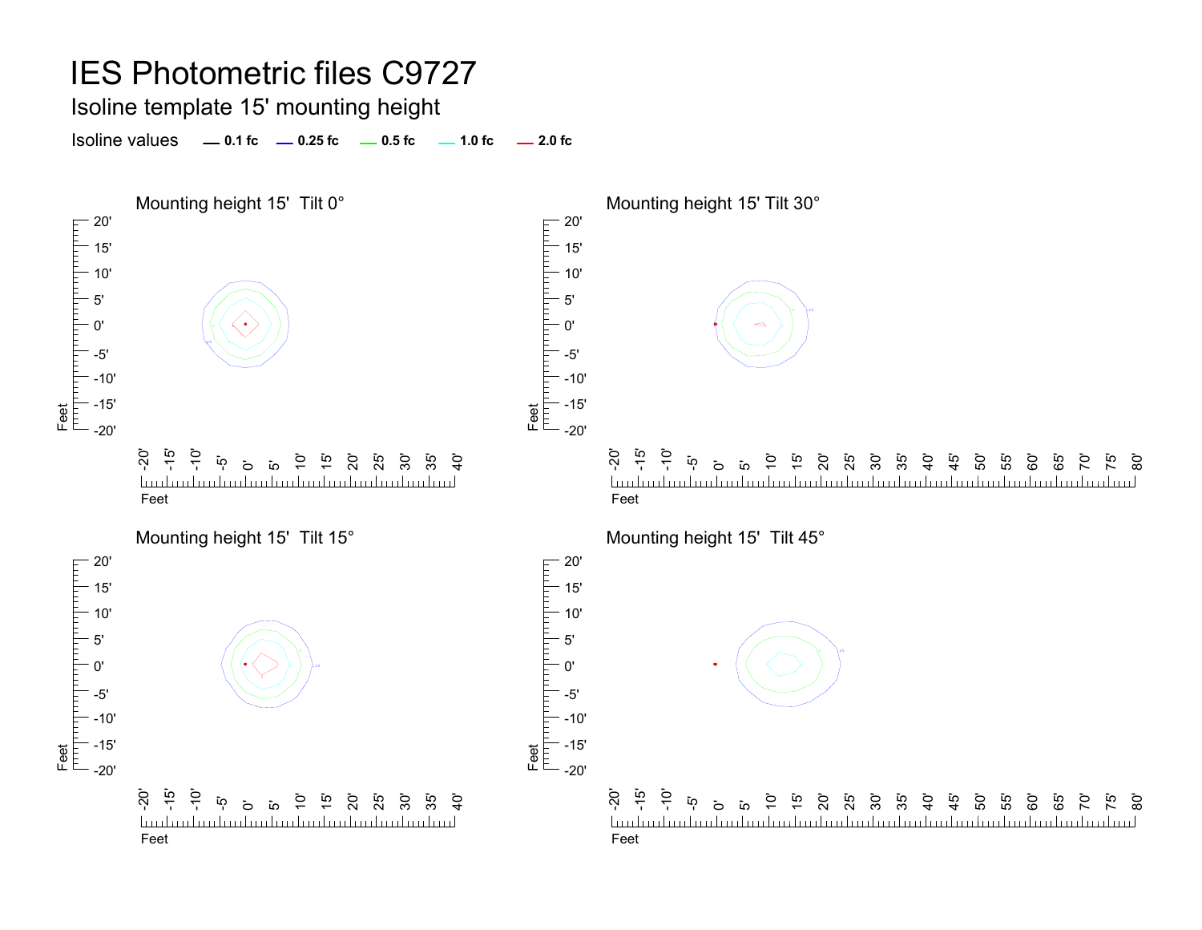Isoline template 15' mounting height

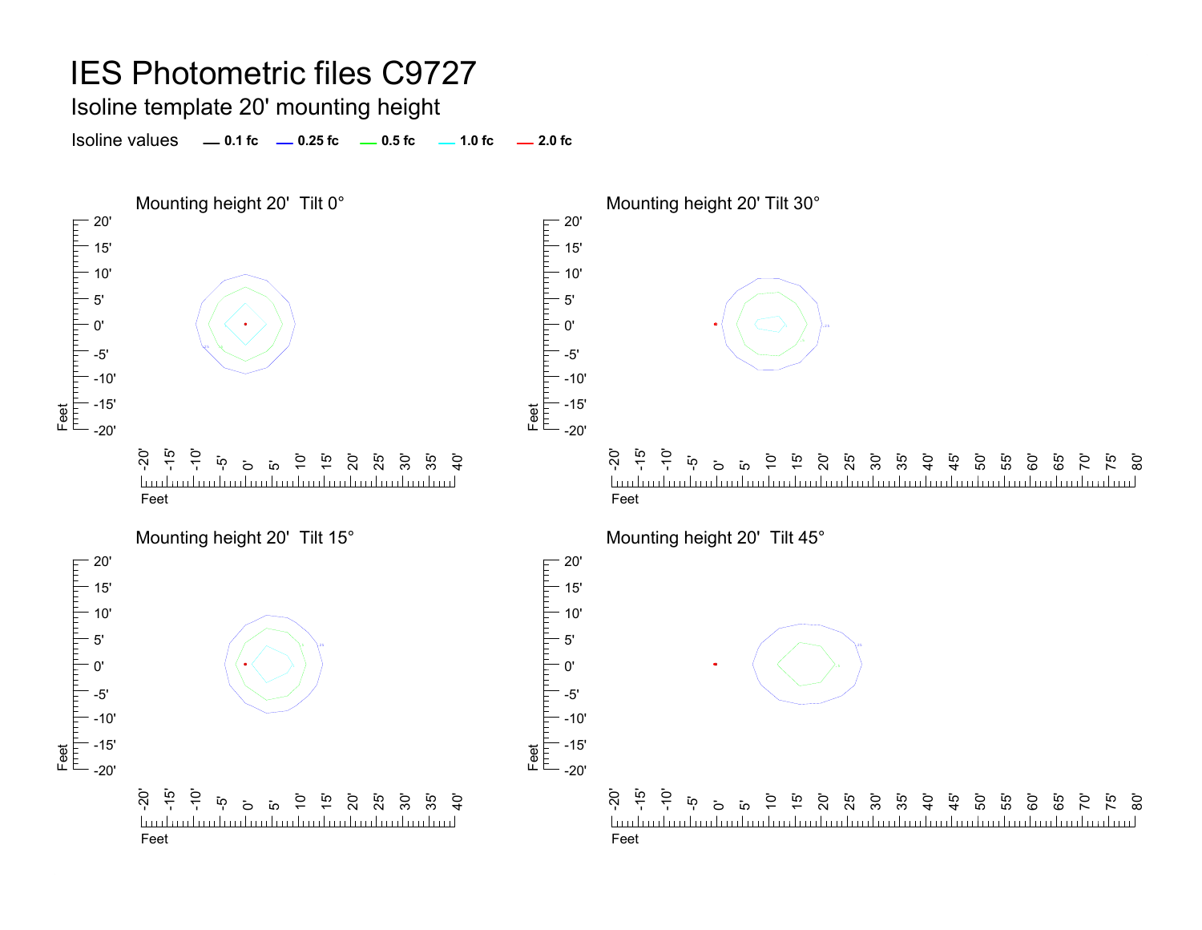Isoline template 20' mounting height

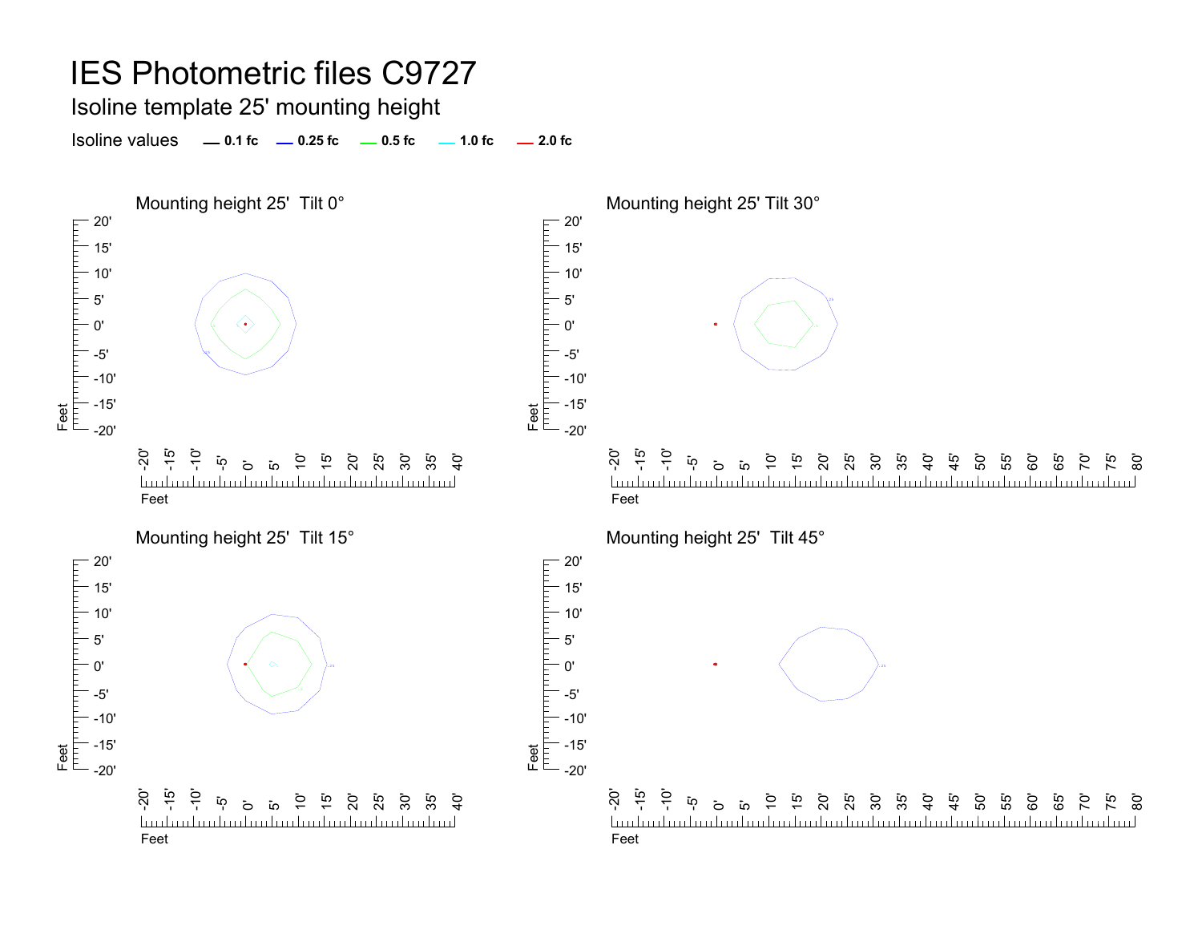Isoline template 25' mounting height

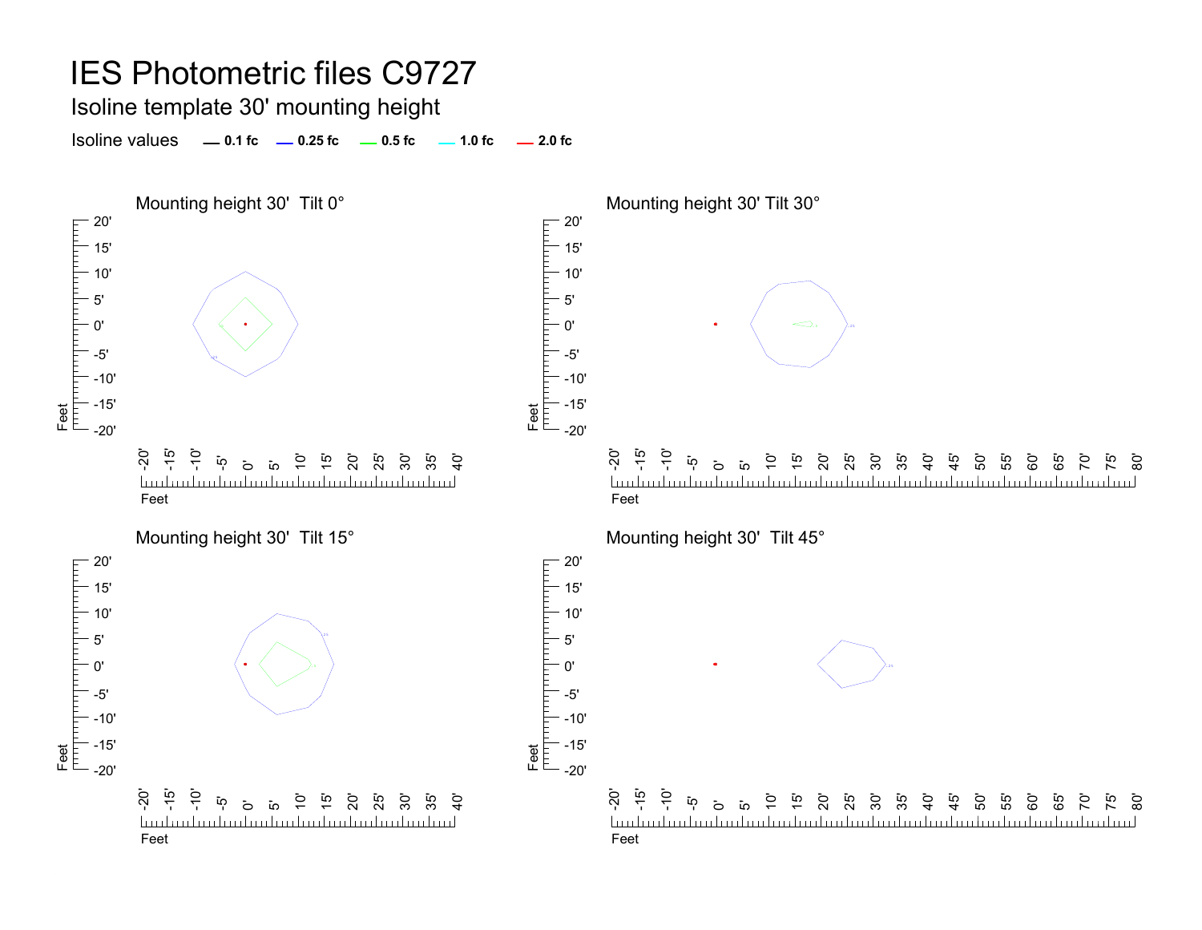Isoline template 30' mounting height